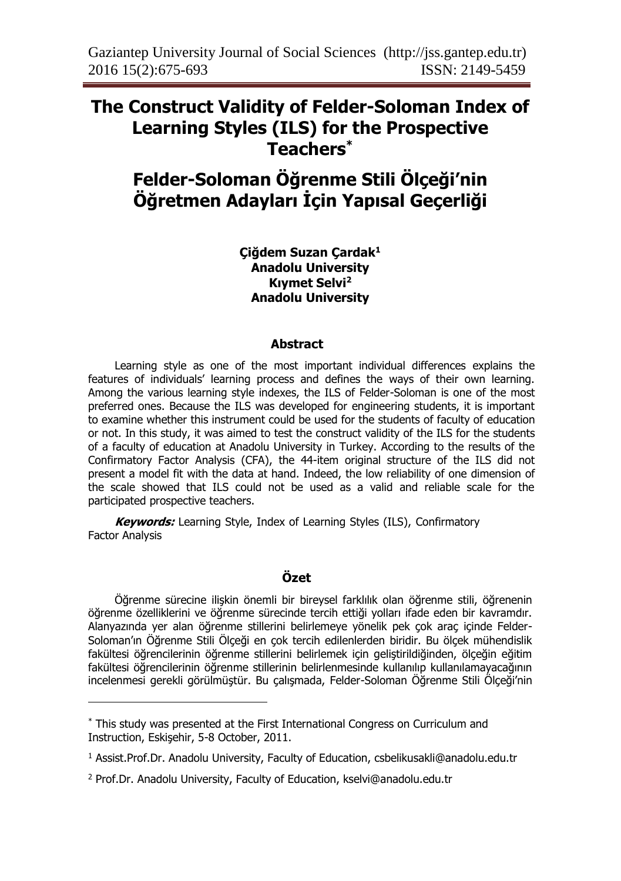## **The Construct Validity of Felder-Soloman Index of Learning Styles (ILS) for the Prospective Teachers\***

# **Felder-Soloman Öğrenme Stili Ölçeği'nin Öğretmen Adayları İçin Yapısal Geçerliği**

**Çiğdem Suzan Çardak<sup>1</sup> Anadolu University Kıymet Selvi<sup>2</sup> Anadolu University**

#### **Abstract**

Learning style as one of the most important individual differences explains the features of individuals' learning process and defines the ways of their own learning. Among the various learning style indexes, the ILS of Felder-Soloman is one of the most preferred ones. Because the ILS was developed for engineering students, it is important to examine whether this instrument could be used for the students of faculty of education or not. In this study, it was aimed to test the construct validity of the ILS for the students of a faculty of education at Anadolu University in Turkey. According to the results of the Confirmatory Factor Analysis (CFA), the 44-item original structure of the ILS did not present a model fit with the data at hand. Indeed, the low reliability of one dimension of the scale showed that ILS could not be used as a valid and reliable scale for the participated prospective teachers.

**Keywords:** Learning Style, Index of Learning Styles (ILS), Confirmatory Factor Analysis

## **Özet**

Öğrenme sürecine ilişkin önemli bir bireysel farklılık olan öğrenme stili, öğrenenin öğrenme özelliklerini ve öğrenme sürecinde tercih ettiği yolları ifade eden bir kavramdır. Alanyazında yer alan öğrenme stillerini belirlemeye yönelik pek çok araç içinde Felder-Soloman'ın Öğrenme Stili Ölçeği en çok tercih edilenlerden biridir. Bu ölçek mühendislik fakültesi öğrencilerinin öğrenme stillerini belirlemek için geliştirildiğinden, ölçeğin eğitim fakültesi öğrencilerinin öğrenme stillerinin belirlenmesinde kullanılıp kullanılamayacağının incelenmesi gerekli görülmüştür. Bu çalışmada, Felder-Soloman Öğrenme Stili Ölçeği'nin

 $\overline{\phantom{a}}$ 

<sup>\*</sup> This study was presented at the First International Congress on Curriculum and Instruction, Eskişehir, 5-8 October, 2011.

<sup>&</sup>lt;sup>1</sup> Assist.Prof.Dr. Anadolu University, Faculty of Education, csbelikusakli@anadolu.edu.tr

<sup>2</sup> Prof.Dr. Anadolu University, Faculty of Education, kselvi@anadolu.edu.tr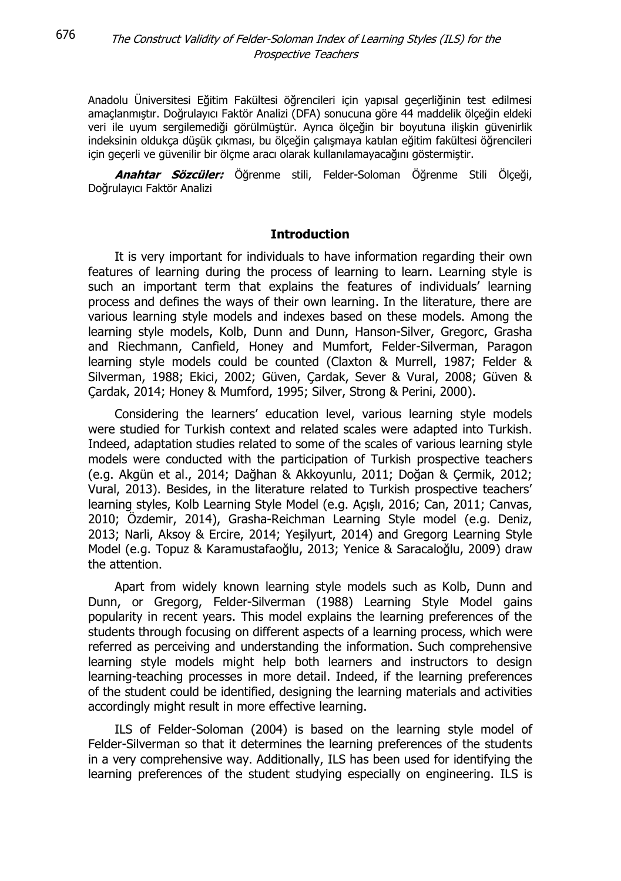Anadolu Üniversitesi Eğitim Fakültesi öğrencileri için yapısal geçerliğinin test edilmesi amaçlanmıştır. Doğrulayıcı Faktör Analizi (DFA) sonucuna göre 44 maddelik ölçeğin eldeki veri ile uyum sergilemediği görülmüştür. Ayrıca ölçeğin bir boyutuna ilişkin güvenirlik indeksinin oldukça düşük çıkması, bu ölçeğin çalışmaya katılan eğitim fakültesi öğrencileri için geçerli ve güvenilir bir ölçme aracı olarak kullanılamayacağını göstermiştir.

**Anahtar Sözcüler:** Öğrenme stili, Felder-Soloman Öğrenme Stili Ölçeği, Doğrulayıcı Faktör Analizi

#### **Introduction**

It is very important for individuals to have information regarding their own features of learning during the process of learning to learn. Learning style is such an important term that explains the features of individuals' learning process and defines the ways of their own learning. In the literature, there are various learning style models and indexes based on these models. Among the learning style models, Kolb, Dunn and Dunn, Hanson-Silver, Gregorc, Grasha and Riechmann, Canfield, Honey and Mumfort, Felder-Silverman, Paragon learning style models could be counted (Claxton & Murrell, 1987; Felder & Silverman, 1988; Ekici, 2002; Güven, Çardak, Sever & Vural, 2008; Güven & Çardak, 2014; Honey & Mumford, 1995; Silver, Strong & Perini, 2000).

Considering the learners' education level, various learning style models were studied for Turkish context and related scales were adapted into Turkish. Indeed, adaptation studies related to some of the scales of various learning style models were conducted with the participation of Turkish prospective teachers (e.g. Akgün et al., 2014; Dağhan & Akkoyunlu, 2011; Doğan & Çermik, 2012; Vural, 2013). Besides, in the literature related to Turkish prospective teachers' learning styles, Kolb Learning Style Model (e.g. Açışlı, 2016; Can, 2011; Canvas, 2010; Özdemir, 2014), Grasha-Reichman Learning Style model (e.g. Deniz, 2013; Narli, Aksoy & Ercire, 2014; Yeşilyurt, 2014) and Gregorg Learning Style Model (e.g. Topuz & Karamustafaoğlu, 2013; Yenice & Saracaloğlu, 2009) draw the attention.

Apart from widely known learning style models such as Kolb, Dunn and Dunn, or Gregorg, Felder-Silverman (1988) Learning Style Model gains popularity in recent years. This model explains the learning preferences of the students through focusing on different aspects of a learning process, which were referred as perceiving and understanding the information. Such comprehensive learning style models might help both learners and instructors to design learning-teaching processes in more detail. Indeed, if the learning preferences of the student could be identified, designing the learning materials and activities accordingly might result in more effective learning.

ILS of Felder-Soloman (2004) is based on the learning style model of Felder-Silverman so that it determines the learning preferences of the students in a very comprehensive way. Additionally, ILS has been used for identifying the learning preferences of the student studying especially on engineering. ILS is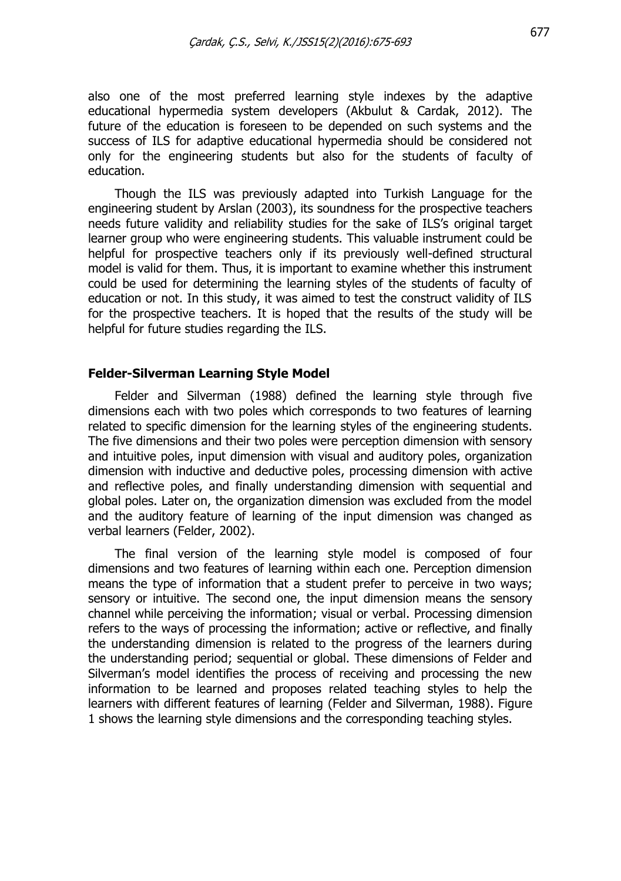also one of the most preferred learning style indexes by the adaptive educational hypermedia system developers (Akbulut & Cardak, 2012). The future of the education is foreseen to be depended on such systems and the success of ILS for adaptive educational hypermedia should be considered not only for the engineering students but also for the students of faculty of education.

Though the ILS was previously adapted into Turkish Language for the engineering student by Arslan (2003), its soundness for the prospective teachers needs future validity and reliability studies for the sake of ILS's original target learner group who were engineering students. This valuable instrument could be helpful for prospective teachers only if its previously well-defined structural model is valid for them. Thus, it is important to examine whether this instrument could be used for determining the learning styles of the students of faculty of education or not. In this study, it was aimed to test the construct validity of ILS for the prospective teachers. It is hoped that the results of the study will be helpful for future studies regarding the ILS.

#### **Felder-Silverman Learning Style Model**

Felder and Silverman (1988) defined the learning style through five dimensions each with two poles which corresponds to two features of learning related to specific dimension for the learning styles of the engineering students. The five dimensions and their two poles were perception dimension with sensory and intuitive poles, input dimension with visual and auditory poles, organization dimension with inductive and deductive poles, processing dimension with active and reflective poles, and finally understanding dimension with sequential and global poles. Later on, the organization dimension was excluded from the model and the auditory feature of learning of the input dimension was changed as verbal learners (Felder, 2002).

The final version of the learning style model is composed of four dimensions and two features of learning within each one. Perception dimension means the type of information that a student prefer to perceive in two ways; sensory or intuitive. The second one, the input dimension means the sensory channel while perceiving the information; visual or verbal. Processing dimension refers to the ways of processing the information; active or reflective, and finally the understanding dimension is related to the progress of the learners during the understanding period; sequential or global. These dimensions of Felder and Silverman's model identifies the process of receiving and processing the new information to be learned and proposes related teaching styles to help the learners with different features of learning (Felder and Silverman, 1988). Figure 1 shows the learning style dimensions and the corresponding teaching styles.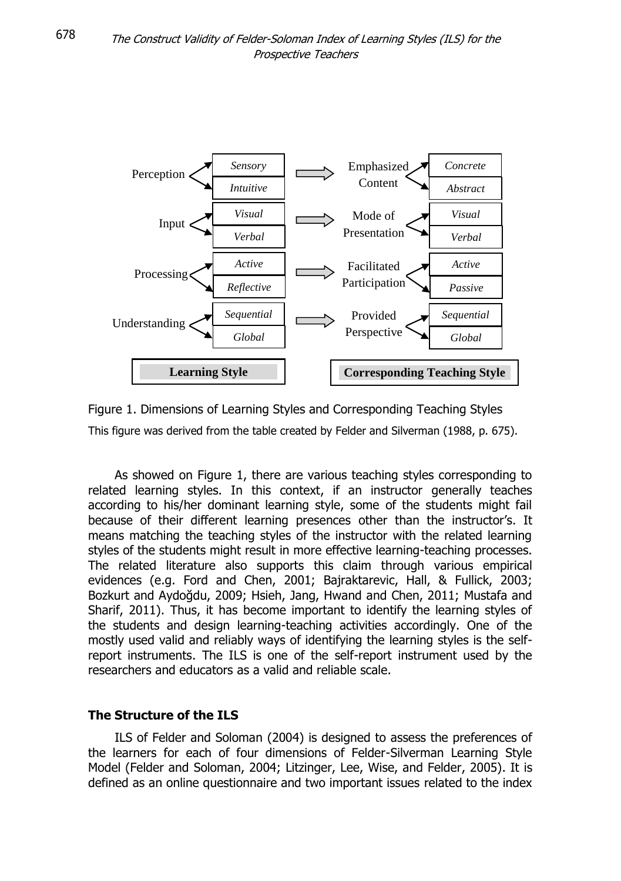

Figure 1. Dimensions of Learning Styles and Corresponding Teaching Styles This figure was derived from the table created by Felder and Silverman (1988, p. 675).

As showed on Figure 1, there are various teaching styles corresponding to related learning styles. In this context, if an instructor generally teaches according to his/her dominant learning style, some of the students might fail because of their different learning presences other than the instructor's. It means matching the teaching styles of the instructor with the related learning styles of the students might result in more effective learning-teaching processes. The related literature also supports this claim through various empirical evidences (e.g. Ford and Chen, 2001; Bajraktarevic, Hall, & Fullick, 2003; Bozkurt and Aydoğdu, 2009; Hsieh, Jang, Hwand and Chen, 2011; Mustafa and Sharif, 2011). Thus, it has become important to identify the learning styles of the students and design learning-teaching activities accordingly. One of the mostly used valid and reliably ways of identifying the learning styles is the selfreport instruments. The ILS is one of the self-report instrument used by the researchers and educators as a valid and reliable scale.

## **The Structure of the ILS**

ILS of Felder and Soloman (2004) is designed to assess the preferences of the learners for each of four dimensions of Felder-Silverman Learning Style Model (Felder and Soloman, 2004; Litzinger, Lee, Wise, and Felder, 2005). It is defined as an online questionnaire and two important issues related to the index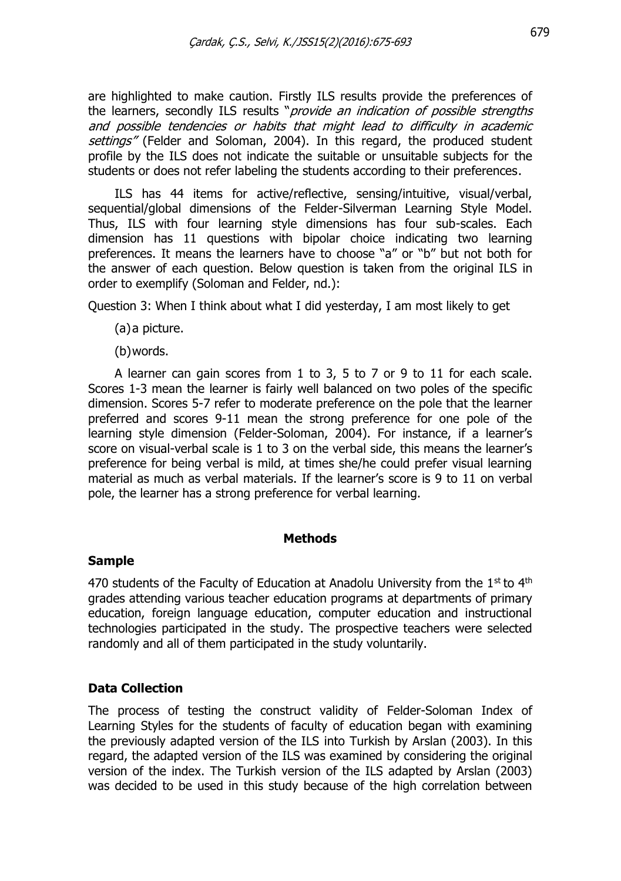are highlighted to make caution. Firstly ILS results provide the preferences of the learners, secondly ILS results "*provide an indication of possible strengths* and possible tendencies or habits that might lead to difficulty in academic settings" (Felder and Soloman, 2004). In this regard, the produced student profile by the ILS does not indicate the suitable or unsuitable subjects for the students or does not refer labeling the students according to their preferences.

ILS has 44 items for active/reflective, sensing/intuitive, visual/verbal, sequential/global dimensions of the Felder-Silverman Learning Style Model. Thus, ILS with four learning style dimensions has four sub-scales. Each dimension has 11 questions with bipolar choice indicating two learning preferences. It means the learners have to choose "a" or "b" but not both for the answer of each question. Below question is taken from the original ILS in order to exemplify (Soloman and Felder, nd.):

Question 3: When I think about what I did yesterday, I am most likely to get

- (a)a picture.
- (b)words.

A learner can gain scores from 1 to 3, 5 to 7 or 9 to 11 for each scale. Scores 1-3 mean the learner is fairly well balanced on two poles of the specific dimension. Scores 5-7 refer to moderate preference on the pole that the learner preferred and scores 9-11 mean the strong preference for one pole of the learning style dimension (Felder-Soloman, 2004). For instance, if a learner's score on visual-verbal scale is 1 to 3 on the verbal side, this means the learner's preference for being verbal is mild, at times she/he could prefer visual learning material as much as verbal materials. If the learner's score is 9 to 11 on verbal pole, the learner has a strong preference for verbal learning.

#### **Methods**

#### **Sample**

470 students of the Faculty of Education at Anadolu University from the  $1^{st}$  to  $4^{th}$ grades attending various teacher education programs at departments of primary education, foreign language education, computer education and instructional technologies participated in the study. The prospective teachers were selected randomly and all of them participated in the study voluntarily.

## **Data Collection**

The process of testing the construct validity of Felder-Soloman Index of Learning Styles for the students of faculty of education began with examining the previously adapted version of the ILS into Turkish by Arslan (2003). In this regard, the adapted version of the ILS was examined by considering the original version of the index. The Turkish version of the ILS adapted by Arslan (2003) was decided to be used in this study because of the high correlation between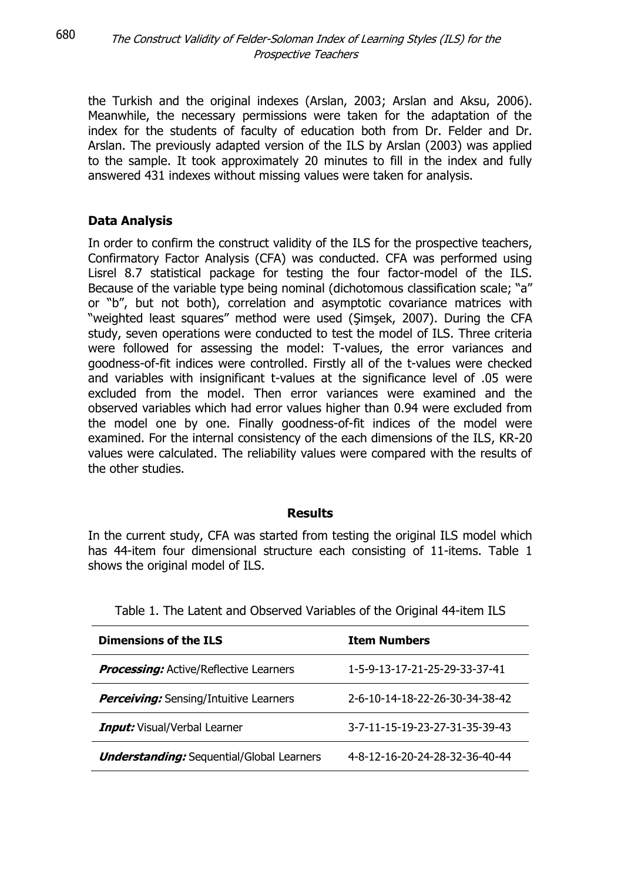the Turkish and the original indexes (Arslan, 2003; Arslan and Aksu, 2006). Meanwhile, the necessary permissions were taken for the adaptation of the index for the students of faculty of education both from Dr. Felder and Dr. Arslan. The previously adapted version of the ILS by Arslan (2003) was applied to the sample. It took approximately 20 minutes to fill in the index and fully answered 431 indexes without missing values were taken for analysis.

## **Data Analysis**

680

In order to confirm the construct validity of the ILS for the prospective teachers, Confirmatory Factor Analysis (CFA) was conducted. CFA was performed using Lisrel 8.7 statistical package for testing the four factor-model of the ILS. Because of the variable type being nominal (dichotomous classification scale; "a" or "b", but not both), correlation and asymptotic covariance matrices with "weighted least squares" method were used (Şimşek, 2007). During the CFA study, seven operations were conducted to test the model of ILS. Three criteria were followed for assessing the model: T-values, the error variances and goodness-of-fit indices were controlled. Firstly all of the t-values were checked and variables with insignificant t-values at the significance level of .05 were excluded from the model. Then error variances were examined and the observed variables which had error values higher than 0.94 were excluded from the model one by one. Finally goodness-of-fit indices of the model were examined. For the internal consistency of the each dimensions of the ILS, KR-20 values were calculated. The reliability values were compared with the results of the other studies.

## **Results**

In the current study, CFA was started from testing the original ILS model which has 44-item four dimensional structure each consisting of 11-items. Table 1 shows the original model of ILS.

| <b>Dimensions of the ILS</b>                     | <b>Item Numbers</b>            |
|--------------------------------------------------|--------------------------------|
| <b>Processing:</b> Active/Reflective Learners    | 1-5-9-13-17-21-25-29-33-37-41  |
| <b>Perceiving:</b> Sensing/Intuitive Learners    | 2-6-10-14-18-22-26-30-34-38-42 |
| <b>Input:</b> Visual/Verbal Learner              | 3-7-11-15-19-23-27-31-35-39-43 |
| <b>Understanding:</b> Sequential/Global Learners | 4-8-12-16-20-24-28-32-36-40-44 |

Table 1. The Latent and Observed Variables of the Original 44-item ILS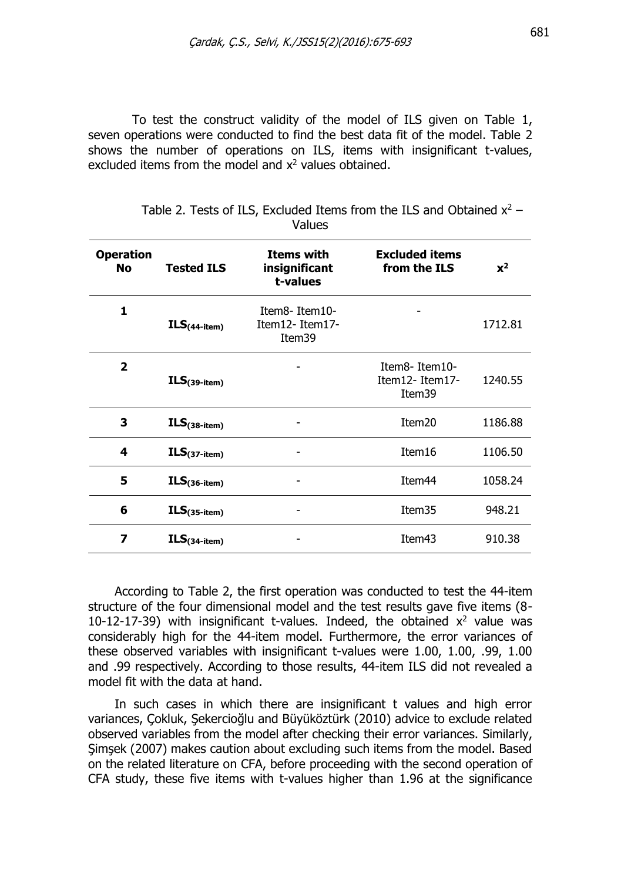To test the construct validity of the model of ILS given on Table 1, seven operations were conducted to find the best data fit of the model. Table 2 shows the number of operations on ILS, items with insignificant t-values, excluded items from the model and  $x^2$  values obtained.

| <b>Operation</b><br><b>No</b> | <b>Tested ILS</b> | <b>Items with</b><br>insignificant<br>t-values | <b>Excluded items</b><br>from the ILS     | $x^2$   |
|-------------------------------|-------------------|------------------------------------------------|-------------------------------------------|---------|
| 1                             | $ILS(44-item)$    | Item8-Item10-<br>Item12- Item17-<br>Item39     |                                           | 1712.81 |
| $\overline{2}$                | $ILS(39-item)$    |                                                | Item8-Item10-<br>Item12-Item17-<br>Item39 | 1240.55 |
| 3                             | $ILS(38-item)$    |                                                | Item <sub>20</sub>                        | 1186.88 |
| 4                             | $ILS(37-item)$    |                                                | Item16                                    | 1106.50 |
| 5                             | $ILS(36-item)$    |                                                | Item <sub>44</sub>                        | 1058.24 |
| 6                             | $ILS(35-item)$    |                                                | Item35                                    | 948.21  |
| 7                             | $ILS(34-item)$    |                                                | Item43                                    | 910.38  |

| Table 2. Tests of ILS, Excluded Items from the ILS and Obtained $x^2$ – |        |  |  |  |
|-------------------------------------------------------------------------|--------|--|--|--|
|                                                                         | Values |  |  |  |

According to Table 2, the first operation was conducted to test the 44-item structure of the four dimensional model and the test results gave five items (8- 10-12-17-39) with insignificant t-values. Indeed, the obtained  $x^2$  value was considerably high for the 44-item model. Furthermore, the error variances of these observed variables with insignificant t-values were 1.00, 1.00, .99, 1.00 and .99 respectively. According to those results, 44-item ILS did not revealed a model fit with the data at hand.

In such cases in which there are insignificant t values and high error variances, Çokluk, Şekercioğlu and Büyüköztürk (2010) advice to exclude related observed variables from the model after checking their error variances. Similarly, Şimşek (2007) makes caution about excluding such items from the model. Based on the related literature on CFA, before proceeding with the second operation of CFA study, these five items with t-values higher than 1.96 at the significance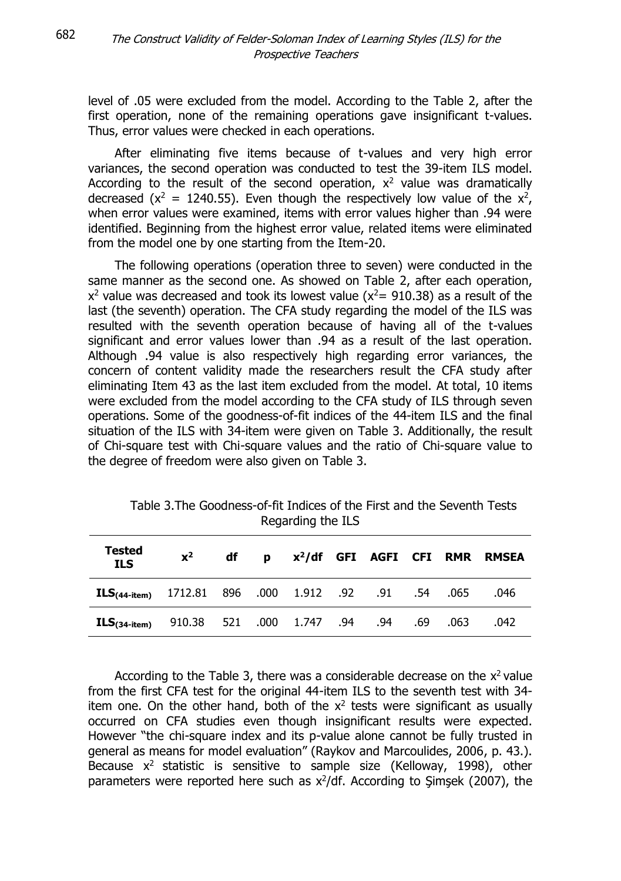level of .05 were excluded from the model. According to the Table 2, after the first operation, none of the remaining operations gave insignificant t-values. Thus, error values were checked in each operations.

After eliminating five items because of t-values and very high error variances, the second operation was conducted to test the 39-item ILS model. According to the result of the second operation,  $x^2$  value was dramatically decreased ( $x^2 = 1240.55$ ). Even though the respectively low value of the  $x^2$ , when error values were examined, items with error values higher than .94 were identified. Beginning from the highest error value, related items were eliminated from the model one by one starting from the Item-20.

The following operations (operation three to seven) were conducted in the same manner as the second one. As showed on Table 2, after each operation,  $x^2$  value was decreased and took its lowest value ( $x^2$  = 910.38) as a result of the last (the seventh) operation. The CFA study regarding the model of the ILS was resulted with the seventh operation because of having all of the t-values significant and error values lower than .94 as a result of the last operation. Although .94 value is also respectively high regarding error variances, the concern of content validity made the researchers result the CFA study after eliminating Item 43 as the last item excluded from the model. At total, 10 items were excluded from the model according to the CFA study of ILS through seven operations. Some of the goodness-of-fit indices of the 44-item ILS and the final situation of the ILS with 34-item were given on Table 3. Additionally, the result of Chi-square test with Chi-square values and the ratio of Chi-square value to the degree of freedom were also given on Table 3.

| Tested<br><b>ILS</b>                                                    | $x^2$ | df l |  |  |  | p x <sup>2</sup> /df GFI AGFI CFI RMR RMSEA |
|-------------------------------------------------------------------------|-------|------|--|--|--|---------------------------------------------|
| <b>ILS</b> <sub>(44-item)</sub> 1712.81 896 .000 1.912 .92 .91 .54 .065 |       |      |  |  |  | .046                                        |
| <b>ILS</b> (34-item) 910.38 521 .000 1.747 .94 .94 .69 .063             |       |      |  |  |  | .042                                        |

Table 3.The Goodness-of-fit Indices of the First and the Seventh Tests Regarding the ILS

According to the Table 3, there was a considerable decrease on the  $x^2$  value from the first CFA test for the original 44-item ILS to the seventh test with 34 item one. On the other hand, both of the  $x^2$  tests were significant as usually occurred on CFA studies even though insignificant results were expected. However "the chi-square index and its p-value alone cannot be fully trusted in general as means for model evaluation" (Raykov and Marcoulides, 2006, p. 43.). Because  $x^2$  statistic is sensitive to sample size (Kelloway, 1998), other parameters were reported here such as  $x^2$ /df. According to Şimşek (2007), the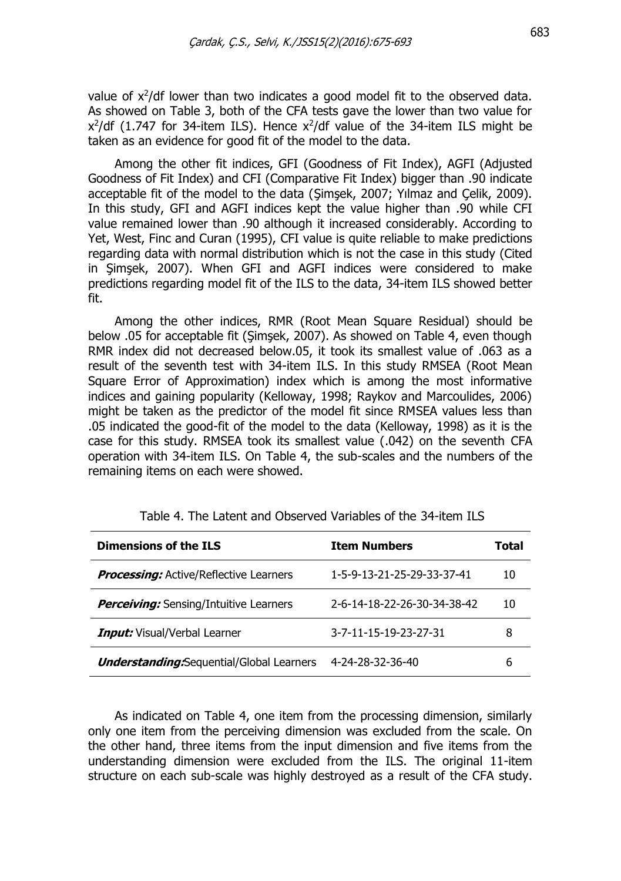value of  $x^2$ /df lower than two indicates a good model fit to the observed data. As showed on Table 3, both of the CFA tests gave the lower than two value for  $x^2$ /df (1.747 for 34-item ILS). Hence  $x^2$ /df value of the 34-item ILS might be taken as an evidence for good fit of the model to the data.

Among the other fit indices, GFI (Goodness of Fit Index), AGFI (Adjusted Goodness of Fit Index) and CFI (Comparative Fit Index) bigger than .90 indicate acceptable fit of the model to the data (Şimşek, 2007; Yılmaz and Çelik, 2009). In this study, GFI and AGFI indices kept the value higher than .90 while CFI value remained lower than .90 although it increased considerably. According to Yet, West, Finc and Curan (1995), CFI value is quite reliable to make predictions regarding data with normal distribution which is not the case in this study (Cited in Şimşek, 2007). When GFI and AGFI indices were considered to make predictions regarding model fit of the ILS to the data, 34-item ILS showed better fit.

Among the other indices, RMR (Root Mean Square Residual) should be below .05 for acceptable fit (Şimşek, 2007). As showed on Table 4, even though RMR index did not decreased below.05, it took its smallest value of .063 as a result of the seventh test with 34-item ILS. In this study RMSEA (Root Mean Square Error of Approximation) index which is among the most informative indices and gaining popularity (Kelloway, 1998; Raykov and Marcoulides, 2006) might be taken as the predictor of the model fit since RMSEA values less than .05 indicated the good-fit of the model to the data (Kelloway, 1998) as it is the case for this study. RMSEA took its smallest value (.042) on the seventh CFA operation with 34-item ILS. On Table 4, the sub-scales and the numbers of the remaining items on each were showed.

| <b>Dimensions of the ILS</b>                     | <b>Item Numbers</b>         | Total |
|--------------------------------------------------|-----------------------------|-------|
| <b>Processing:</b> Active/Reflective Learners    | 1-5-9-13-21-25-29-33-37-41  | 10    |
| <b>Perceiving:</b> Sensing/Intuitive Learners    | 2-6-14-18-22-26-30-34-38-42 | 10    |
| <b>Input:</b> Visual/Verbal Learner              | 3-7-11-15-19-23-27-31       | 8     |
| <b>Understanding.</b> Sequential/Global Learners | 4-24-28-32-36-40            | 6     |

Table 4. The Latent and Observed Variables of the 34-item ILS

As indicated on Table 4, one item from the processing dimension, similarly only one item from the perceiving dimension was excluded from the scale. On the other hand, three items from the input dimension and five items from the understanding dimension were excluded from the ILS. The original 11-item structure on each sub-scale was highly destroyed as a result of the CFA study.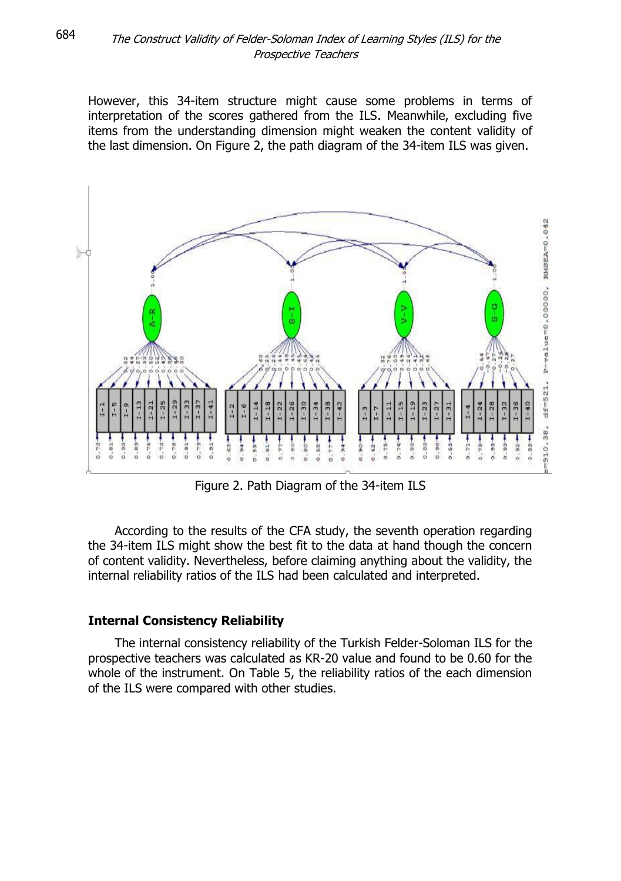However, this 34-item structure might cause some problems in terms of interpretation of the scores gathered from the ILS. Meanwhile, excluding five items from the understanding dimension might weaken the content validity of the last dimension. On Figure 2, the path diagram of the 34-item ILS was given.



Figure 2. Path Diagram of the 34-item ILS

According to the results of the CFA study, the seventh operation regarding the 34-item ILS might show the best fit to the data at hand though the concern of content validity. Nevertheless, before claiming anything about the validity, the internal reliability ratios of the ILS had been calculated and interpreted.

## **Internal Consistency Reliability**

The internal consistency reliability of the Turkish Felder-Soloman ILS for the prospective teachers was calculated as KR-20 value and found to be 0.60 for the whole of the instrument. On Table 5, the reliability ratios of the each dimension of the ILS were compared with other studies.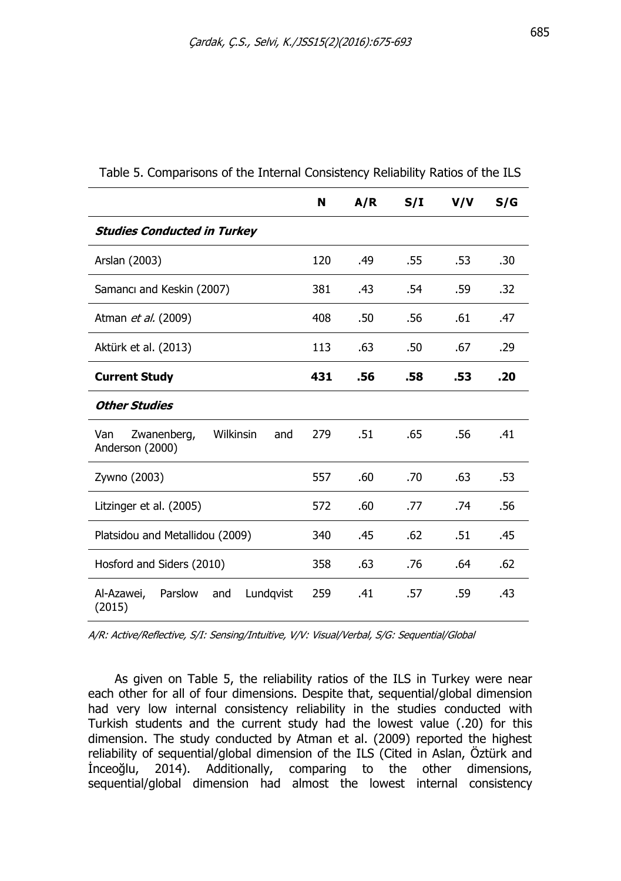|                                                           | N   | A/R | S/I | V/V | S/G |
|-----------------------------------------------------------|-----|-----|-----|-----|-----|
| <b>Studies Conducted in Turkey</b>                        |     |     |     |     |     |
| Arslan (2003)                                             | 120 | .49 | .55 | .53 | .30 |
| Samanci and Keskin (2007)                                 | 381 | .43 | .54 | .59 | .32 |
| Atman et al. (2009)                                       | 408 | .50 | .56 | .61 | .47 |
| Aktürk et al. (2013)                                      | 113 | .63 | .50 | .67 | .29 |
| <b>Current Study</b>                                      | 431 | .56 | .58 | .53 | .20 |
| <b>Other Studies</b>                                      |     |     |     |     |     |
| Zwanenberg,<br>Wilkinsin<br>Van<br>and<br>Anderson (2000) | 279 | .51 | .65 | .56 | .41 |
| Zywno (2003)                                              | 557 | .60 | .70 | .63 | .53 |
| Litzinger et al. (2005)                                   | 572 | .60 | .77 | .74 | .56 |
| Platsidou and Metallidou (2009)                           | 340 | .45 | .62 | .51 | .45 |
| Hosford and Siders (2010)                                 | 358 | .63 | .76 | .64 | .62 |
| Al-Azawei,<br>Parslow<br>Lundqvist<br>and<br>(2015)       | 259 | .41 | .57 | .59 | .43 |

Table 5. Comparisons of the Internal Consistency Reliability Ratios of the ILS

A/R: Active/Reflective, S/I: Sensing/Intuitive, V/V: Visual/Verbal, S/G: Sequential/Global

As given on Table 5, the reliability ratios of the ILS in Turkey were near each other for all of four dimensions. Despite that, sequential/global dimension had very low internal consistency reliability in the studies conducted with Turkish students and the current study had the lowest value (.20) for this dimension. The study conducted by Atman et al. (2009) reported the highest reliability of sequential/global dimension of the ILS (Cited in Aslan, Öztürk and İnceoğlu, 2014). Additionally, comparing to the other dimensions, sequential/global dimension had almost the lowest internal consistency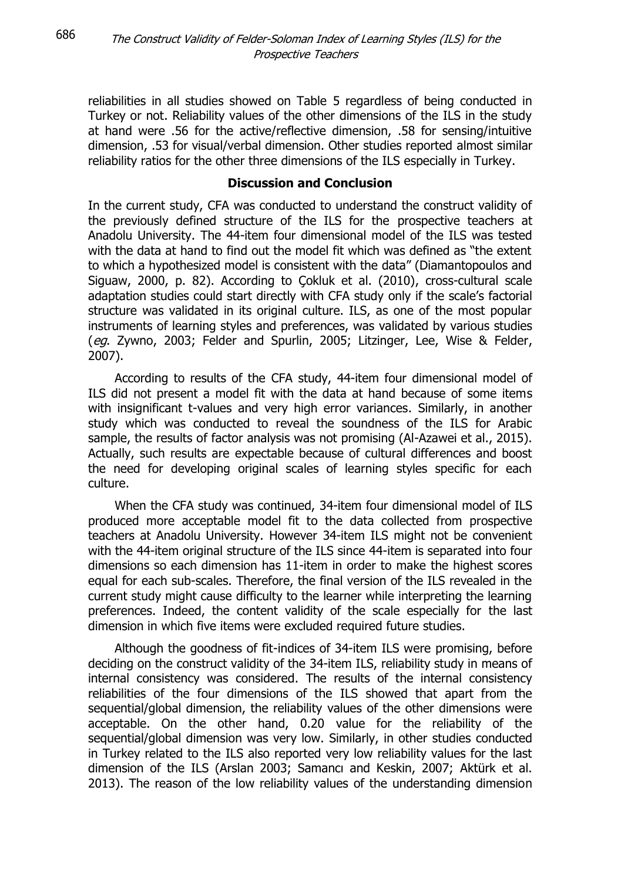reliabilities in all studies showed on Table 5 regardless of being conducted in Turkey or not. Reliability values of the other dimensions of the ILS in the study at hand were .56 for the active/reflective dimension, .58 for sensing/intuitive dimension, .53 for visual/verbal dimension. Other studies reported almost similar reliability ratios for the other three dimensions of the ILS especially in Turkey.

#### **Discussion and Conclusion**

In the current study, CFA was conducted to understand the construct validity of the previously defined structure of the ILS for the prospective teachers at Anadolu University. The 44-item four dimensional model of the ILS was tested with the data at hand to find out the model fit which was defined as "the extent to which a hypothesized model is consistent with the data" (Diamantopoulos and Siguaw, 2000, p. 82). According to Çokluk et al. (2010), cross-cultural scale adaptation studies could start directly with CFA study only if the scale's factorial structure was validated in its original culture. ILS, as one of the most popular instruments of learning styles and preferences, was validated by various studies (eg. Zywno, 2003; Felder and Spurlin, 2005; Litzinger, Lee, Wise & Felder, 2007).

According to results of the CFA study, 44-item four dimensional model of ILS did not present a model fit with the data at hand because of some items with insignificant t-values and very high error variances. Similarly, in another study which was conducted to reveal the soundness of the ILS for Arabic sample, the results of factor analysis was not promising (Al-Azawei et al., 2015). Actually, such results are expectable because of cultural differences and boost the need for developing original scales of learning styles specific for each culture.

When the CFA study was continued, 34-item four dimensional model of ILS produced more acceptable model fit to the data collected from prospective teachers at Anadolu University. However 34-item ILS might not be convenient with the 44-item original structure of the ILS since 44-item is separated into four dimensions so each dimension has 11-item in order to make the highest scores equal for each sub-scales. Therefore, the final version of the ILS revealed in the current study might cause difficulty to the learner while interpreting the learning preferences. Indeed, the content validity of the scale especially for the last dimension in which five items were excluded required future studies.

Although the goodness of fit-indices of 34-item ILS were promising, before deciding on the construct validity of the 34-item ILS, reliability study in means of internal consistency was considered. The results of the internal consistency reliabilities of the four dimensions of the ILS showed that apart from the sequential/global dimension, the reliability values of the other dimensions were acceptable. On the other hand, 0.20 value for the reliability of the sequential/global dimension was very low. Similarly, in other studies conducted in Turkey related to the ILS also reported very low reliability values for the last dimension of the ILS (Arslan 2003; Samancı and Keskin, 2007; Aktürk et al. 2013). The reason of the low reliability values of the understanding dimension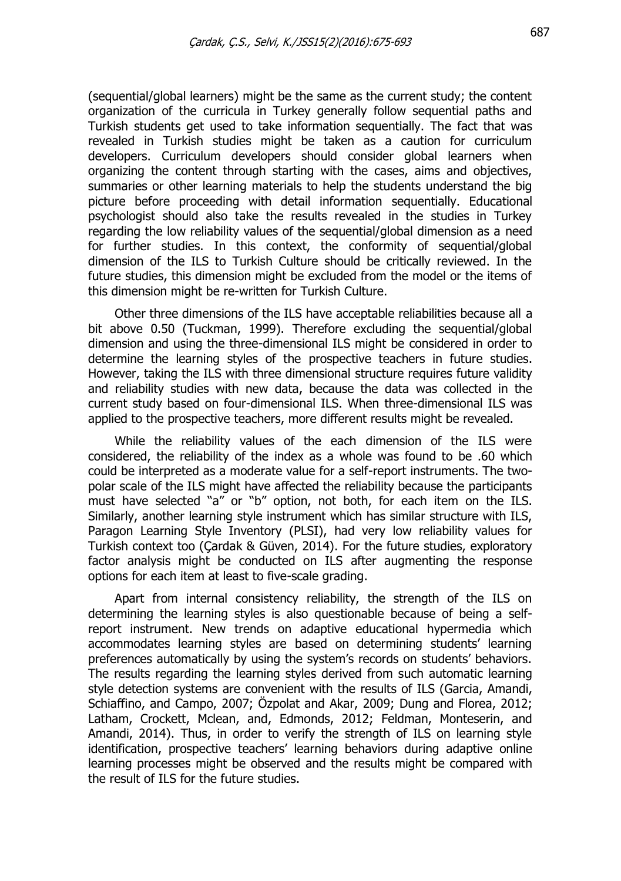(sequential/global learners) might be the same as the current study; the content organization of the curricula in Turkey generally follow sequential paths and Turkish students get used to take information sequentially. The fact that was revealed in Turkish studies might be taken as a caution for curriculum developers. Curriculum developers should consider global learners when organizing the content through starting with the cases, aims and objectives, summaries or other learning materials to help the students understand the big picture before proceeding with detail information sequentially. Educational psychologist should also take the results revealed in the studies in Turkey regarding the low reliability values of the sequential/global dimension as a need for further studies. In this context, the conformity of sequential/global dimension of the ILS to Turkish Culture should be critically reviewed. In the future studies, this dimension might be excluded from the model or the items of this dimension might be re-written for Turkish Culture.

Other three dimensions of the ILS have acceptable reliabilities because all a bit above 0.50 (Tuckman, 1999). Therefore excluding the sequential/global dimension and using the three-dimensional ILS might be considered in order to determine the learning styles of the prospective teachers in future studies. However, taking the ILS with three dimensional structure requires future validity and reliability studies with new data, because the data was collected in the current study based on four-dimensional ILS. When three-dimensional ILS was applied to the prospective teachers, more different results might be revealed.

While the reliability values of the each dimension of the ILS were considered, the reliability of the index as a whole was found to be .60 which could be interpreted as a moderate value for a self-report instruments. The twopolar scale of the ILS might have affected the reliability because the participants must have selected "a" or "b" option, not both, for each item on the ILS. Similarly, another learning style instrument which has similar structure with ILS, Paragon Learning Style Inventory (PLSI), had very low reliability values for Turkish context too (Çardak & Güven, 2014). For the future studies, exploratory factor analysis might be conducted on ILS after augmenting the response options for each item at least to five-scale grading.

Apart from internal consistency reliability, the strength of the ILS on determining the learning styles is also questionable because of being a selfreport instrument. New trends on adaptive educational hypermedia which accommodates learning styles are based on determining students' learning preferences automatically by using the system's records on students' behaviors. The results regarding the learning styles derived from such automatic learning style detection systems are convenient with the results of ILS (Garcia, Amandi, Schiaffino, and Campo, 2007; Özpolat and Akar, 2009; Dung and Florea, 2012; Latham, Crockett, Mclean, and, Edmonds, 2012; Feldman, Monteserin, and Amandi, 2014). Thus, in order to verify the strength of ILS on learning style identification, prospective teachers' learning behaviors during adaptive online learning processes might be observed and the results might be compared with the result of ILS for the future studies.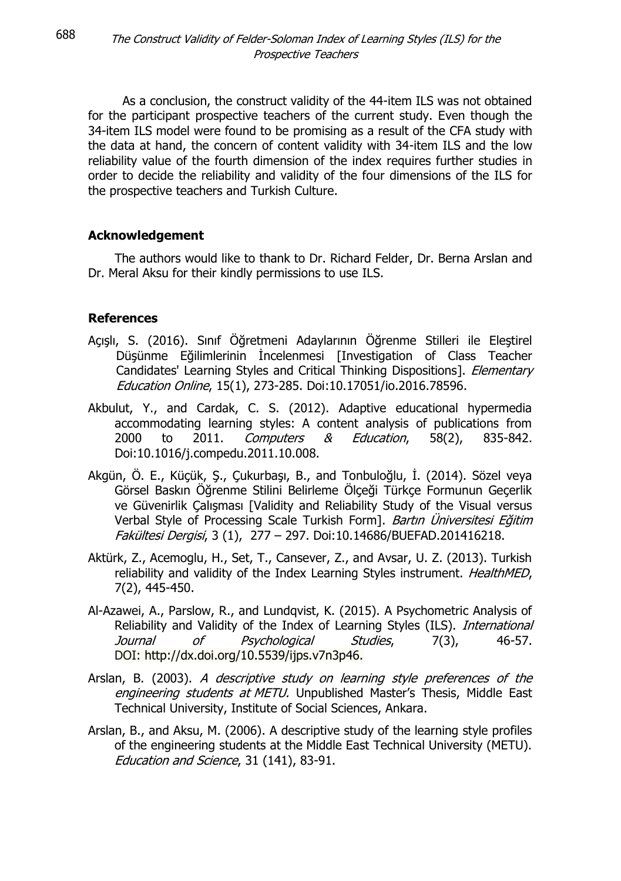As a conclusion, the construct validity of the 44-item ILS was not obtained for the participant prospective teachers of the current study. Even though the 34-item ILS model were found to be promising as a result of the CFA study with the data at hand, the concern of content validity with 34-item ILS and the low reliability value of the fourth dimension of the index requires further studies in order to decide the reliability and validity of the four dimensions of the ILS for the prospective teachers and Turkish Culture.

## **Acknowledgement**

The authors would like to thank to Dr. Richard Felder, Dr. Berna Arslan and Dr. Meral Aksu for their kindly permissions to use ILS.

## **References**

- Açışlı, S. (2016). Sınıf Öğretmeni Adaylarının Öğrenme Stilleri ile Eleştirel Düşünme Eğilimlerinin İncelenmesi [Investigation of Class Teacher Candidates' Learning Styles and Critical Thinking Dispositions]. Elementary Education Online, 15(1), 273-285. Doi:10.17051/io.2016.78596.
- Akbulut, Y., and Cardak, C. S. (2012). Adaptive educational hypermedia accommodating learning styles: A content analysis of publications from 2000 to 2011. Computers & Education, 58(2), 835-842. Doi:10.1016/j.compedu.2011.10.008.
- Akgün, Ö. E., Küçük, Ş., Çukurbaşı, B., and Tonbuloğlu, İ. (2014). Sözel veya Görsel Baskın Öğrenme Stilini Belirleme Ölçeği Türkçe Formunun Geçerlik ve Güvenirlik Çalışması [Validity and Reliability Study of the Visual versus Verbal Style of Processing Scale Turkish Form]. Bartın Üniversitesi Eğitim Fakültesi Dergisi, 3 (1), 277 – 297. Doi:10.14686/BUEFAD.201416218.
- Aktürk, Z., Acemoglu, H., Set, T., Cansever, Z., and Avsar, U. Z. (2013). Turkish reliability and validity of the Index Learning Styles instrument. HealthMED, 7(2), 445-450.
- Al-Azawei, A., Parslow, R., and Lundqvist, K. (2015). A Psychometric Analysis of Reliability and Validity of the Index of Learning Styles (ILS). International Journal of Psychological Studies, 7(3), 46-57. DOI: http://dx.doi.org/10.5539/ijps.v7n3p46.
- Arslan, B. (2003). A descriptive study on learning style preferences of the engineering students at METU. Unpublished Master's Thesis, Middle East Technical University, Institute of Social Sciences, Ankara.
- Arslan, B., and Aksu, M. (2006). A descriptive study of the learning style profiles of the engineering students at the Middle East Technical University (METU). Education and Science, 31 (141), 83-91.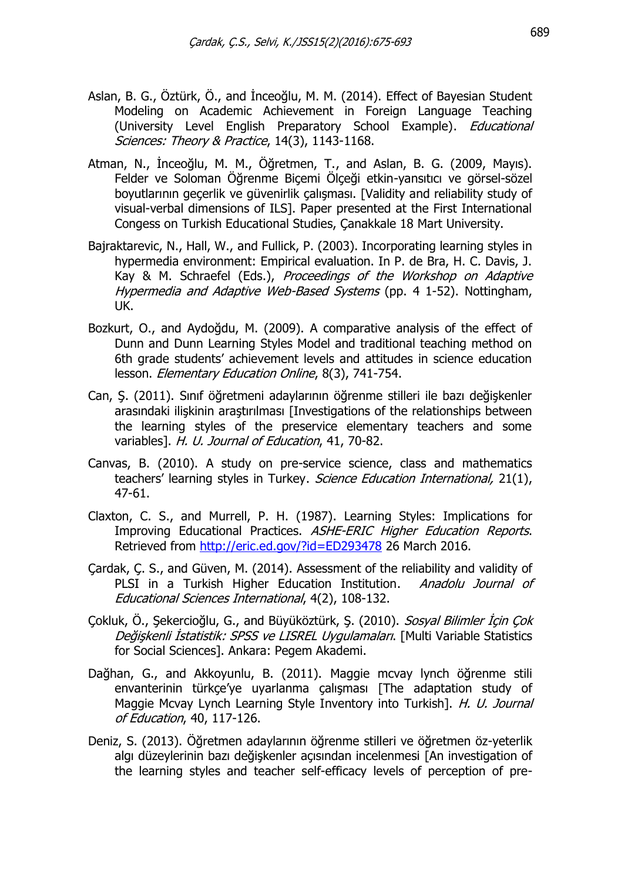- Aslan, B. G., Öztürk, Ö., and İnceoğlu, M. M. (2014). Effect of Bayesian Student Modeling on Academic Achievement in Foreign Language Teaching (University Level English Preparatory School Example). Educational Sciences: Theory & Practice, 14(3), 1143-1168.
- Atman, N., İnceoğlu, M. M., Öğretmen, T., and Aslan, B. G. (2009, Mayıs). Felder ve Soloman Öğrenme Biçemi Ölçeği etkin-yansıtıcı ve görsel-sözel boyutlarının geçerlik ve güvenirlik çalışması. [Validity and reliability study of visual-verbal dimensions of ILS]. Paper presented at the First International Congess on Turkish Educational Studies, Çanakkale 18 Mart University.
- Bajraktarevic, N., Hall, W., and Fullick, P. (2003). Incorporating learning styles in hypermedia environment: Empirical evaluation. In P. de Bra, H. C. Davis, J. Kay & M. Schraefel (Eds.), Proceedings of the Workshop on Adaptive Hypermedia and Adaptive Web-Based Systems (pp. 4 1-52). Nottingham, UK.
- Bozkurt, O., and Aydoğdu, M. (2009). A comparative analysis of the effect of Dunn and Dunn Learning Styles Model and traditional teaching method on 6th grade students' achievement levels and attitudes in science education lesson. Elementary Education Online, 8(3), 741-754.
- Can, Ş. (2011). Sınıf öğretmeni adaylarının öğrenme stilleri ile bazı değişkenler arasındaki ilişkinin araştırılması [Investigations of the relationships between the learning styles of the preservice elementary teachers and some variables]. H. U. Journal of Education, 41, 70-82.
- Canvas, B. (2010). A study on pre-service science, class and mathematics teachers' learning styles in Turkey. Science Education International, 21(1), 47-61.
- Claxton, C. S., and Murrell, P. H. (1987). Learning Styles: Implications for Improving Educational Practices. ASHE-ERIC Higher Education Reports. Retrieved from <http://eric.ed.gov/?id=ED293478> 26 March 2016.
- Çardak, Ç. S., and Güven, M. (2014). Assessment of the reliability and validity of PLSI in a Turkish Higher Education Institution. Anadolu Journal of Educational Sciences International, 4(2), 108-132.
- Çokluk, Ö., Şekercioğlu, G., and Büyüköztürk, Ş. (2010). Sosyal Bilimler İçin Çok Değişkenli İstatistik: SPSS ve LISREL Uygulamaları. [Multi Variable Statistics for Social Sciences]. Ankara: Pegem Akademi.
- Dağhan, G., and Akkoyunlu, B. (2011). Maggie mcvay lynch öğrenme stili envanterinin türkçe'ye uyarlanma çalışması [The adaptation study of Maggie Mcvay Lynch Learning Style Inventory into Turkish]. H. U. Journal of Education, 40, 117-126.
- Deniz, S. (2013). Öğretmen adaylarının öğrenme stilleri ve öğretmen öz-yeterlik algı düzeylerinin bazı değişkenler açısından incelenmesi [An investigation of the learning styles and teacher self-efficacy levels of perception of pre-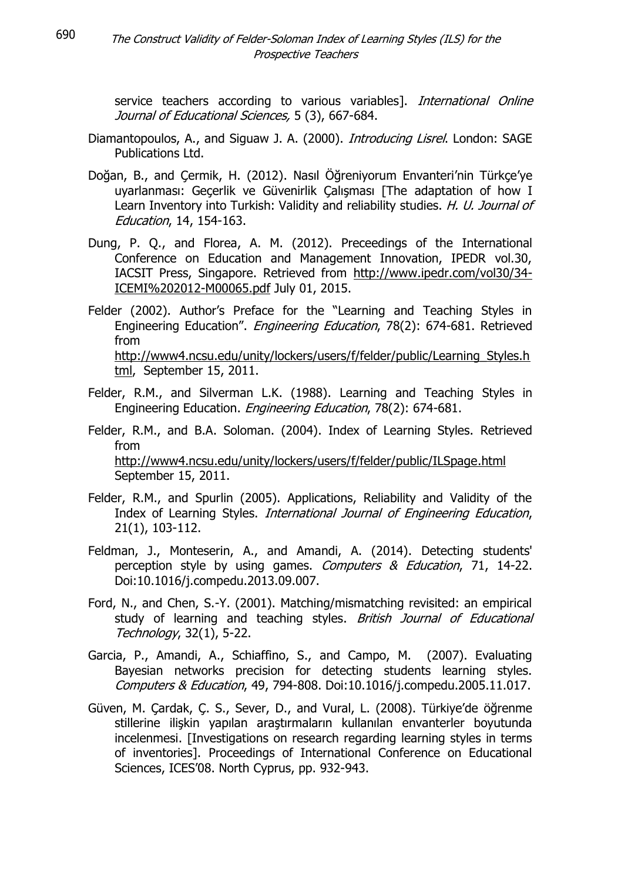690

service teachers according to various variables]. International Online Journal of Educational Sciences, 5 (3), 667-684.

- Diamantopoulos, A., and Siguaw J. A. (2000). *Introducing Lisrel*. London: SAGE Publications Ltd.
- Doğan, B., and Çermik, H. (2012). Nasıl Öğreniyorum Envanteri'nin Türkçe'ye uyarlanması: Geçerlik ve Güvenirlik Çalışması [The adaptation of how I Learn Inventory into Turkish: Validity and reliability studies. H. U. Journal of Education, 14, 154-163.
- Dung, P. Q., and Florea, A. M. (2012). Preceedings of the International Conference on Education and Management Innovation, IPEDR vol.30, IACSIT Press, Singapore. Retrieved from [http://www.ipedr.com/vol30/34-](http://www.ipedr.com/vol30/34-ICEMI%202012-M00065.pdf) [ICEMI%202012-M00065.pdf](http://www.ipedr.com/vol30/34-ICEMI%202012-M00065.pdf) July 01, 2015.
- Felder (2002). Author's Preface for the "Learning and Teaching Styles in Engineering Education". Engineering Education, 78(2): 674-681. Retrieved from [http://www4.ncsu.edu/unity/lockers/users/f/felder/public/Learning\\_Styles.h](http://www4.ncsu.edu/unity/lockers/users/f/felder/public/Learning_Styles.html) [tml,](http://www4.ncsu.edu/unity/lockers/users/f/felder/public/Learning_Styles.html) September 15, 2011.
- Felder, R.M., and Silverman L.K. (1988). Learning and Teaching Styles in Engineering Education. Engineering Education, 78(2): 674-681.
- Felder, R.M., and B.A. Soloman. (2004). Index of Learning Styles. Retrieved from <http://www4.ncsu.edu/unity/lockers/users/f/felder/public/ILSpage.html> September 15, 2011.
- Felder, R.M., and Spurlin (2005). Applications, Reliability and Validity of the Index of Learning Styles. International Journal of Engineering Education, 21(1), 103-112.
- Feldman, J., Monteserin, A., and Amandi, A. (2014). Detecting students' perception style by using games. Computers & Education, 71, 14-22. Doi:10.1016/j.compedu.2013.09.007.
- Ford, N., and Chen, S.-Y. (2001). Matching/mismatching revisited: an empirical study of learning and teaching styles. British Journal of Educational Technology, 32(1), 5-22.
- Garcia, P., Amandi, A., Schiaffino, S., and Campo, M. (2007). Evaluating Bayesian networks precision for detecting students learning styles. Computers & Education, 49, 794-808. Doi:10.1016/j.compedu.2005.11.017.
- Güven, M. Çardak, Ç. S., Sever, D., and Vural, L. (2008). Türkiye'de öğrenme stillerine ilişkin yapılan araştırmaların kullanılan envanterler boyutunda incelenmesi. [Investigations on research regarding learning styles in terms of inventories]. Proceedings of International Conference on Educational Sciences, ICES'08. North Cyprus, pp. 932-943.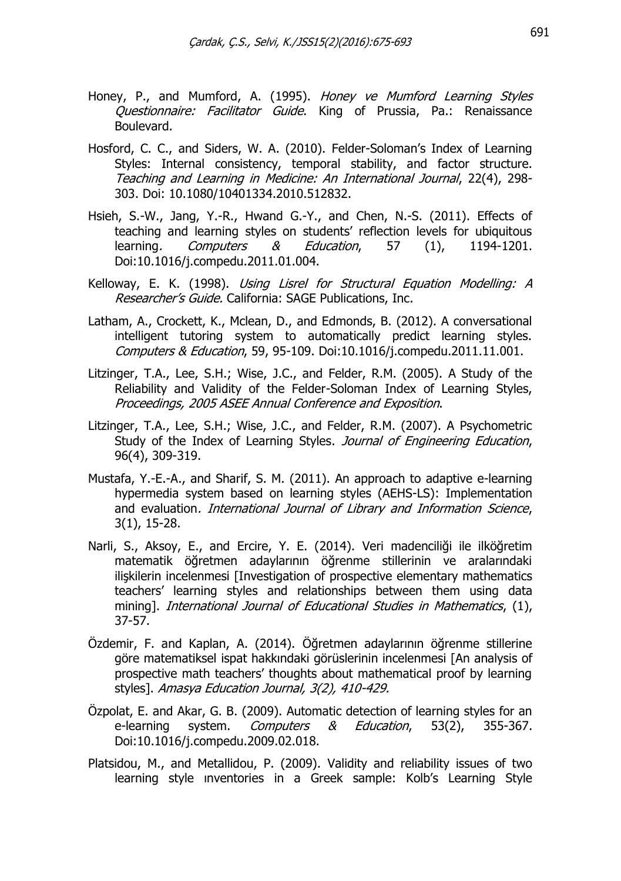- Honey, P., and Mumford, A. (1995). Honey ve Mumford Learning Styles Questionnaire: Facilitator Guide. King of Prussia, Pa.: Renaissance Boulevard.
- Hosford, C. C., and Siders, W. A. (2010). Felder-Soloman's Index of Learning Styles: Internal consistency, temporal stability, and factor structure. Teaching and Learning in Medicine: An International Journal, 22(4), 298- 303. Doi: 10.1080/10401334.2010.512832.
- Hsieh, S.-W., Jang, Y.-R., Hwand G.-Y., and Chen, N.-S. (2011). Effects of teaching and learning styles on students' reflection levels for ubiquitous learning. Computers & Education, 57 (1), 1194-1201. Doi:10.1016/j.compedu.2011.01.004.
- Kelloway, E. K. (1998). Using Lisrel for Structural Equation Modelling: A Researcher's Guide. California: SAGE Publications, Inc.
- Latham, A., Crockett, K., Mclean, D., and Edmonds, B. (2012). A conversational intelligent tutoring system to automatically predict learning styles. Computers & Education, 59, 95-109. Doi:10.1016/j.compedu.2011.11.001.
- Litzinger, T.A., Lee, S.H.; Wise, J.C., and Felder, R.M. (2005). A Study of the Reliability and Validity of the Felder-Soloman Index of Learning Styles, Proceedings, 2005 ASEE Annual Conference and Exposition.
- Litzinger, T.A., Lee, S.H.; Wise, J.C., and Felder, R.M. (2007). A Psychometric Study of the Index of Learning Styles. Journal of Engineering Education, 96(4), 309-319.
- Mustafa, Y.-E.-A., and Sharif, S. M. (2011). An approach to adaptive e-learning hypermedia system based on learning styles (AEHS-LS): Implementation and evaluation. International Journal of Library and Information Science, 3(1), 15-28.
- Narli, S., Aksoy, E., and Ercire, Y. E. (2014). Veri madenciliği ile ilköğretim matematik öğretmen adaylarının öğrenme stillerinin ve aralarındaki ilişkilerin incelenmesi [Investigation of prospective elementary mathematics teachers' learning styles and relationships between them using data mining]. International Journal of Educational Studies in Mathematics, (1), 37-57.
- Özdemir, F. and Kaplan, A. (2014). Öğretmen adaylarının öğrenme stillerine göre matematiksel ispat hakkındaki görüslerinin incelenmesi [An analysis of prospective math teachers' thoughts about mathematical proof by learning styles]. Amasya Education Journal, 3(2), 410-429.
- Özpolat, E. and Akar, G. B. (2009). Automatic detection of learning styles for an e-learning system. Computers & Education, 53(2), 355-367. Doi:10.1016/j.compedu.2009.02.018.
- Platsidou, M., and Metallidou, P. (2009). Validity and reliability issues of two learning style ınventories in a Greek sample: Kolb's Learning Style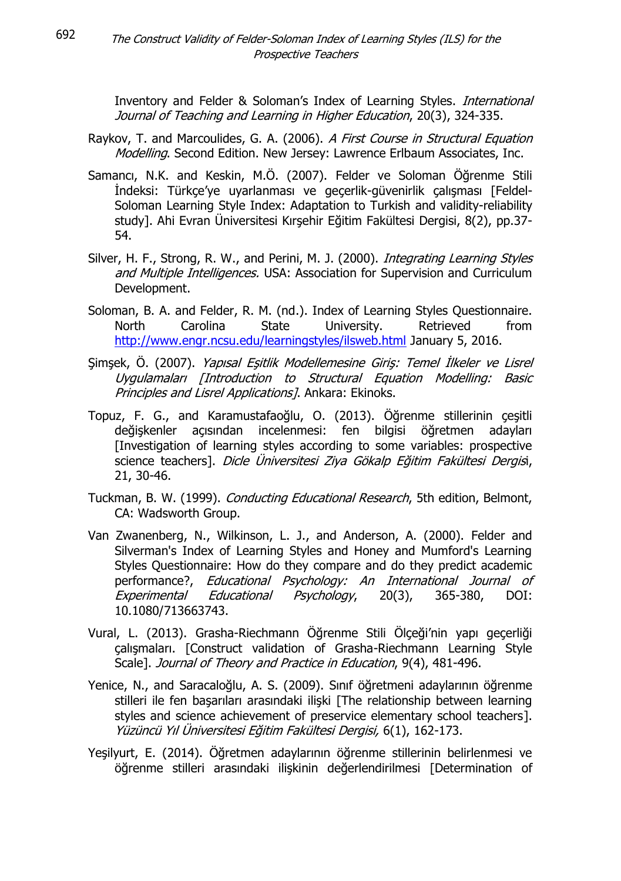Inventory and Felder & Soloman's Index of Learning Styles. International Journal of Teaching and Learning in Higher Education, 20(3), 324-335.

- Raykov, T. and Marcoulides, G. A. (2006). A First Course in Structural Equation Modelling. Second Edition. New Jersey: Lawrence Erlbaum Associates, Inc.
- Samancı, N.K. and Keskin, M.Ö. (2007). Felder ve Soloman Öğrenme Stili İndeksi: Türkçe'ye uyarlanması ve geçerlik-güvenirlik çalışması [Feldel-Soloman Learning Style Index: Adaptation to Turkish and validity-reliability study]. Ahi Evran Üniversitesi Kırşehir Eğitim Fakültesi Dergisi, 8(2), pp.37- 54.
- Silver, H. F., Strong, R. W., and Perini, M. J. (2000). *Integrating Learning Styles* and Multiple Intelligences. USA: Association for Supervision and Curriculum Development.
- Soloman, B. A. and Felder, R. M. (nd.). Index of Learning Styles Questionnaire. North Carolina State University. Retrieved from <http://www.engr.ncsu.edu/learningstyles/ilsweb.html> January 5, 2016.
- Şimşek, Ö. (2007). Yapısal Eşitlik Modellemesine Giriş: Temel İlkeler ve Lisrel Uygulamaları [Introduction to Structural Equation Modelling: Basic Principles and Lisrel Applications]. Ankara: Ekinoks.
- Topuz, F. G., and Karamustafaoğlu, O. (2013). Öğrenme stillerinin çeşitli değişkenler açısından incelenmesi: fen bilgisi öğretmen adayları [Investigation of learning styles according to some variables: prospective science teachers]. Dicle Üniversitesi Ziya Gökalp Eğitim Fakültesi Dergisi, 21, 30-46.
- Tuckman, B. W. (1999). Conducting Educational Research, 5th edition, Belmont, CA: Wadsworth Group.
- Van Zwanenberg, N., Wilkinson, L. J., and Anderson, A. (2000). Felder and Silverman's Index of Learning Styles and Honey and Mumford's Learning Styles Questionnaire: How do they compare and do they predict academic performance?, Educational Psychology: An International Journal of Experimental Educational Psychology, 20(3), 365-380, DOI: 10.1080/713663743.
- Vural, L. (2013). Grasha-Riechmann Öğrenme Stili Ölçeği'nin yapı geçerliği çalışmaları. [Construct validation of Grasha-Riechmann Learning Style Scale]. Journal of Theory and Practice in Education, 9(4), 481-496.
- Yenice, N., and Saracaloğlu, A. S. (2009). Sınıf öğretmeni adaylarının öğrenme stilleri ile fen başarıları arasındaki ilişki [The relationship between learning styles and science achievement of preservice elementary school teachers]. Yüzüncü Yıl Üniversitesi Eğitim Fakültesi Dergisi, 6(1), 162-173.
- Yeşilyurt, E. (2014). Öğretmen adaylarının öğrenme stillerinin belirlenmesi ve öğrenme stilleri arasındaki ilişkinin değerlendirilmesi [Determination of